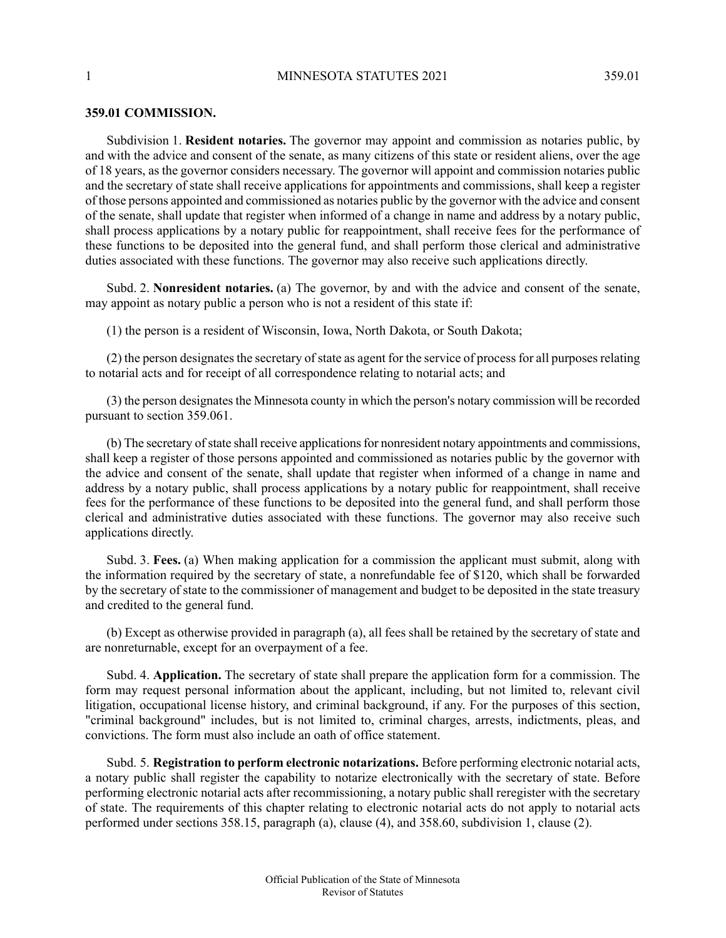## **359.01 COMMISSION.**

Subdivision 1. **Resident notaries.** The governor may appoint and commission as notaries public, by and with the advice and consent of the senate, as many citizens of this state or resident aliens, over the age of 18 years, as the governor considers necessary. The governor will appoint and commission notaries public and the secretary of state shall receive applications for appointments and commissions, shall keep a register of those persons appointed and commissioned as notaries public by the governor with the advice and consent of the senate, shall update that register when informed of a change in name and address by a notary public, shall process applications by a notary public for reappointment, shall receive fees for the performance of these functions to be deposited into the general fund, and shall perform those clerical and administrative duties associated with these functions. The governor may also receive such applications directly.

Subd. 2. **Nonresident notaries.** (a) The governor, by and with the advice and consent of the senate, may appoint as notary public a person who is not a resident of this state if:

(1) the person is a resident of Wisconsin, Iowa, North Dakota, or South Dakota;

(2) the person designates the secretary of state as agent for the service of process for all purposes relating to notarial acts and for receipt of all correspondence relating to notarial acts; and

(3) the person designatesthe Minnesota county in which the person's notary commission will be recorded pursuant to section 359.061.

(b) The secretary of state shall receive applications for nonresident notary appointments and commissions, shall keep a register of those persons appointed and commissioned as notaries public by the governor with the advice and consent of the senate, shall update that register when informed of a change in name and address by a notary public, shall process applications by a notary public for reappointment, shall receive fees for the performance of these functions to be deposited into the general fund, and shall perform those clerical and administrative duties associated with these functions. The governor may also receive such applications directly.

Subd. 3. **Fees.** (a) When making application for a commission the applicant must submit, along with the information required by the secretary of state, a nonrefundable fee of \$120, which shall be forwarded by the secretary of state to the commissioner of management and budget to be deposited in the state treasury and credited to the general fund.

(b) Except as otherwise provided in paragraph (a), all fees shall be retained by the secretary of state and are nonreturnable, except for an overpayment of a fee.

Subd. 4. **Application.** The secretary of state shall prepare the application form for a commission. The form may request personal information about the applicant, including, but not limited to, relevant civil litigation, occupational license history, and criminal background, if any. For the purposes of this section, "criminal background" includes, but is not limited to, criminal charges, arrests, indictments, pleas, and convictions. The form must also include an oath of office statement.

Subd. 5. **Registration to perform electronic notarizations.** Before performing electronic notarial acts, a notary public shall register the capability to notarize electronically with the secretary of state. Before performing electronic notarial acts after recommissioning, a notary public shall reregister with the secretary of state. The requirements of this chapter relating to electronic notarial acts do not apply to notarial acts performed under sections 358.15, paragraph (a), clause (4), and 358.60, subdivision 1, clause (2).